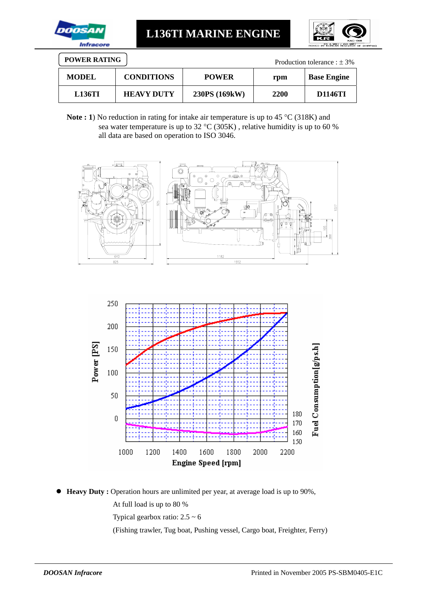

**L136TI MARINE ENGINE** 



| <b>POWER RATING</b><br>Production tolerance : $\pm$ 3% |                   |               |      |                    |  |  |
|--------------------------------------------------------|-------------------|---------------|------|--------------------|--|--|
| <b>MODEL</b>                                           | <b>CONDITIONS</b> | <b>POWER</b>  | rpm  | <b>Base Engine</b> |  |  |
| <b>L136TI</b>                                          | <b>HEAVY DUTY</b> | 230PS (169kW) | 2200 | D1146TI            |  |  |

Note : 1) No reduction in rating for intake air temperature is up to 45 °C (318K) and sea water temperature is up to 32 °C (305K) , relative humidity is up to 60 % all data are based on operation to ISO 3046.





● **Heavy Duty :** Operation hours are unlimited per year, at average load is up to 90%, At full load is up to 80 %

Typical gearbox ratio:  $2.5 \sim 6$ 

(Fishing trawler, Tug boat, Pushing vessel, Cargo boat, Freighter, Ferry)